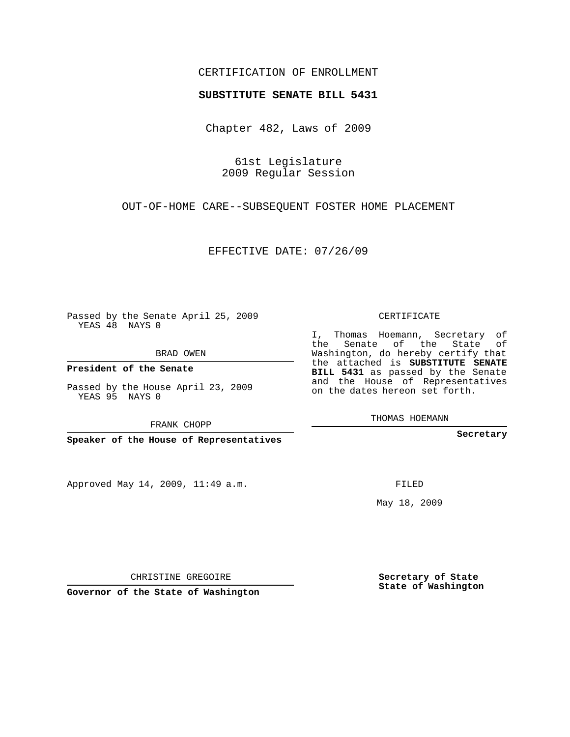## CERTIFICATION OF ENROLLMENT

## **SUBSTITUTE SENATE BILL 5431**

Chapter 482, Laws of 2009

61st Legislature 2009 Regular Session

OUT-OF-HOME CARE--SUBSEQUENT FOSTER HOME PLACEMENT

EFFECTIVE DATE: 07/26/09

Passed by the Senate April 25, 2009 YEAS 48 NAYS 0

BRAD OWEN

**President of the Senate**

Passed by the House April 23, 2009 YEAS 95 NAYS 0

FRANK CHOPP

**Speaker of the House of Representatives**

Approved May 14, 2009, 11:49 a.m.

CERTIFICATE

I, Thomas Hoemann, Secretary of the Senate of the State of Washington, do hereby certify that the attached is **SUBSTITUTE SENATE BILL 5431** as passed by the Senate and the House of Representatives on the dates hereon set forth.

THOMAS HOEMANN

**Secretary**

FILED

May 18, 2009

**Secretary of State State of Washington**

CHRISTINE GREGOIRE

**Governor of the State of Washington**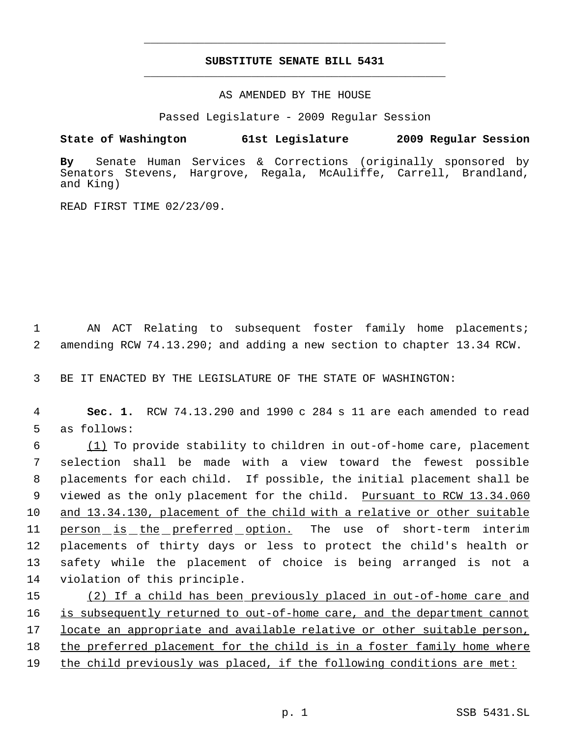## **SUBSTITUTE SENATE BILL 5431** \_\_\_\_\_\_\_\_\_\_\_\_\_\_\_\_\_\_\_\_\_\_\_\_\_\_\_\_\_\_\_\_\_\_\_\_\_\_\_\_\_\_\_\_\_

\_\_\_\_\_\_\_\_\_\_\_\_\_\_\_\_\_\_\_\_\_\_\_\_\_\_\_\_\_\_\_\_\_\_\_\_\_\_\_\_\_\_\_\_\_

AS AMENDED BY THE HOUSE

Passed Legislature - 2009 Regular Session

**State of Washington 61st Legislature 2009 Regular Session**

**By** Senate Human Services & Corrections (originally sponsored by Senators Stevens, Hargrove, Regala, McAuliffe, Carrell, Brandland, and King)

READ FIRST TIME 02/23/09.

 1 AN ACT Relating to subsequent foster family home placements; 2 amending RCW 74.13.290; and adding a new section to chapter 13.34 RCW.

3 BE IT ENACTED BY THE LEGISLATURE OF THE STATE OF WASHINGTON:

 4 **Sec. 1.** RCW 74.13.290 and 1990 c 284 s 11 are each amended to read 5 as follows:

 (1) To provide stability to children in out-of-home care, placement selection shall be made with a view toward the fewest possible placements for each child. If possible, the initial placement shall be 9 viewed as the only placement for the child. Pursuant to RCW 13.34.060 and 13.34.130, placement of the child with a relative or other suitable person is the preferred option. The use of short-term interim placements of thirty days or less to protect the child's health or safety while the placement of choice is being arranged is not a violation of this principle.

15 (2) If a child has been previously placed in out-of-home care and 16 is subsequently returned to out-of-home care, and the department cannot 17 locate an appropriate and available relative or other suitable person, 18 the preferred placement for the child is in a foster family home where 19 the child previously was placed, if the following conditions are met: